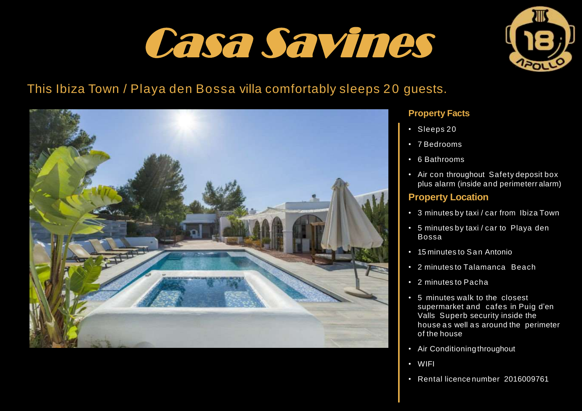## Casa Savines



## This Ibiza Town / Playa den Bossa villa comfortably sleeps 20 guests.



#### **Property Facts**

- Sleeps 20
- 7 Bedrooms
- 6 Bathrooms
- Air con throughout Safety deposit box plus alarm (inside and perimeterr alarm)

#### **Property Location**

- 3 minutes by taxi / car from Ibiza Town
- 5 minutes by taxi / car to Playa den Bossa
- 15 minutes to San Antonio
- 2 minutes to Talamanca Beach
- 2 minutes to Pacha
- 5 minutes walk to the closest supermarket and cafes in Puig d'en Valls Superb security inside the house as well as around the perimeter of the house
- Air Conditioning throughout
- WIFI
- Rental licence number 2016009761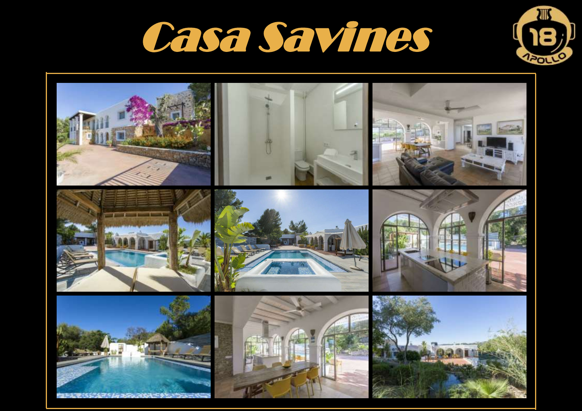



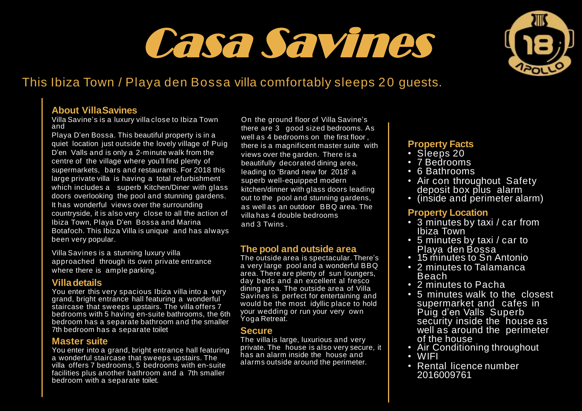# **Villa** Casa Savines **Savines**



## This Ibiza Town / Playa den Bossa villa comfortably sleeps 20 guests.

#### **About VillaSavines**

Villa Savine's is a luxury villa close to Ibiza Town and

Playa D'en Bossa. This beautiful property is in a quiet location just outside the lovely village of Puig D'en Valls and is only a 2-minute walk from the centre of the village where you'll find plenty of supermarkets, bars and restaurants. For 2018 this large private villa is having a total refurbishment which includes a superb Kitchen/Diner with glass doors overlooking the pool and stunning gardens. It has wonderful views over the surrounding countryside, it is also very close to all the action of Ibiza Town, Playa D'en Bossa and Marina Botafoch. This Ibiza Villa is unique and has always been very popular.

Villa Savines is a stunning luxury villa approached through its own private entrance where there is ample parking.

#### **Villadetails**

You enter this very spacious Ibiza villa into a very grand, bright entrance hall featuring a wonderful staircase that sweeps upstairs. The villa offers 7 bedrooms with 5 having en-suite bathrooms, the 6th bedroom has a separate bathroom and the smaller 7th bedroom has a separate toilet

#### **Master suite**

You enter into a grand, bright entrance hall featuring a wonderful staircase that sweeps upstairs. The villa offers 7 bedrooms, 5 bedrooms with en-suite facilities plus another bathroom and a 7th smaller bedroom with a separate toilet.

On the ground floor of Villa Savine's there are 3 good sized bedrooms. As well as 4 bedrooms on the first floor , there is a magnificent master suite with views over the garden. There is a beautifully decorated dining area, leading to 'Brand new for 2018' a superb well-equipped modern kitchen/dinner with glass doors leading out to the pool and stunning gardens, as well as an outdoor BBQ area. The villa has 4 double bedrooms and 3 Twins .

#### **The pool and outside area**

The outside area is spectacular. There's a very large pool and a wonderful BBQ area. There are plenty of sun loungers, day beds and an excellent al fresco dining area. The outside area of Villa Savines is perfect for entertaining and would be the most idyllic place to hold your wedding or run your very own Yoga Retreat.

#### **Secure**

The villa is large, luxurious and very private. The house is also very secure, it has an alarm inside the house and alarms outside around the perimeter.

#### **Property Facts**

- Sleeps 20
- 7 Bedrooms
- 6 Bathrooms
- Air con throughout Safety deposit box plus alarm
- (inside and perimeter alarm)

#### **Property Location**

- 3 minutes by taxi / car from Ibiza Town
- 5 minutes by taxi / car to Playa den Bossa
- 15 minutes to Sn Antonio
- 2 minutes to Talamanca Beach
- 2 minutes to Pacha
- 5 minutes walk to the closest supermarket and cafes in Puig d'en Valls Superb security inside the house as well as around the perimeter of the house
- Air Conditioning throughout • WIFI
- Rental licence number 2016009761